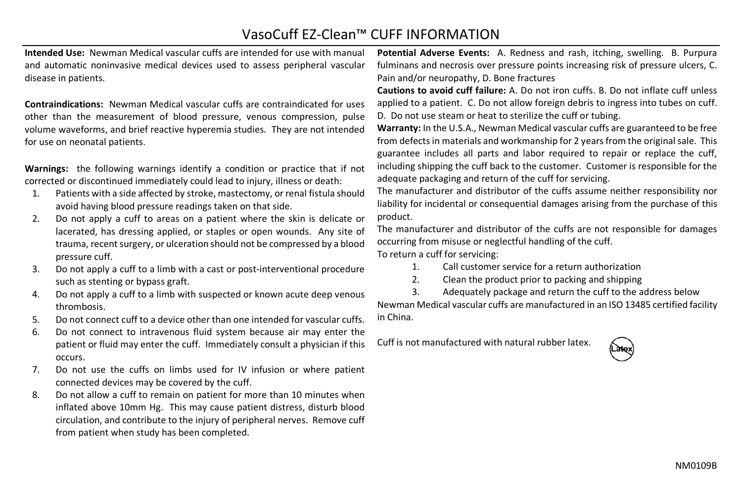## VasoCuff EZ-Clean™ CUFF INFORMATION

**Intended Use:** Newman Medical vascular cuffs are intended for use with manual and automatic noninvasive medical devices used to assess peripheral vascular disease in patients.

**Contraindications:** Newman Medical vascular cuffs are contraindicated for uses other than the measurement of blood pressure, venous compression, pulse volume waveforms, and brief reactive hyperemia studies. They are not intended for use on neonatal patients.

**Warnings:** the following warnings identify a condition or practice that if not corrected or discontinued immediately could lead to injury, illness or death:

- 1. Patients with a side affected by stroke, mastectomy, or renal fistula should avoid having blood pressure readings taken on that side.
- 2. Do not apply a cuff to areas on a patient where the skin is delicate or lacerated, has dressing applied, or staples or open wounds. Any site of trauma, recent surgery, or ulceration should not be compressed by a blood pressure cuff.
- 3. Do not apply a cuff to a limb with a cast or post-interventional procedure such as stenting or bypass graft.
- 4. Do not apply a cuff to a limb with suspected or known acute deep venous thrombosis.
- 5. Do not connect cuff to a device other than one intended for vascular cuffs.
- 6. Do not connect to intravenous fluid system because air may enter the patient or fluid may enter the cuff. Immediately consult a physician if this occurs.
- 7. Do not use the cuffs on limbs used for IV infusion or where patient connected devices may be covered by the cuff.
- 8. Do not allow a cuff to remain on patient for more than 10 minutes when inflated above 10mm Hg. This may cause patient distress, disturb blood circulation, and contribute to the injury of peripheral nerves. Remove cuff from patient when study has been completed.

**Potential Adverse Events:** A. Redness and rash, itching, swelling. B. Purpura fulminans and necrosis over pressure points increasing risk of pressure ulcers, C. Pain and/or neuropathy, D. Bone fractures

**Cautions to avoid cuff failure:** A. Do not iron cuffs. B. Do not inflate cuff unless applied to a patient. C. Do not allow foreign debris to ingress into tubes on cuff. D. Do not use steam or heat to sterilize the cuff or tubing.

**Warranty:** In the U.S.A., Newman Medical vascular cuffs are guaranteed to be free from defects in materials and workmanship for 2 years from the original sale. This guarantee includes all parts and labor required to repair or replace the cuff, including shipping the cuff back to the customer. Customer is responsible for the adequate packaging and return of the cuff for servicing.

The manufacturer and distributor of the cuffs assume neither responsibility nor liability for incidental or consequential damages arising from the purchase of this product.

The manufacturer and distributor of the cuffs are not responsible for damages occurring from misuse or neglectful handling of the cuff.

To return a cuff for servicing:

- 1. Call customer service for a return authorization
- 2. Clean the product prior to packing and shipping

3. Adequately package and return the cuff to the address below Newman Medical vascular cuffs are manufactured in an ISO 13485 certified facility in China.

Cuff is not manufactured with natural rubber latex.